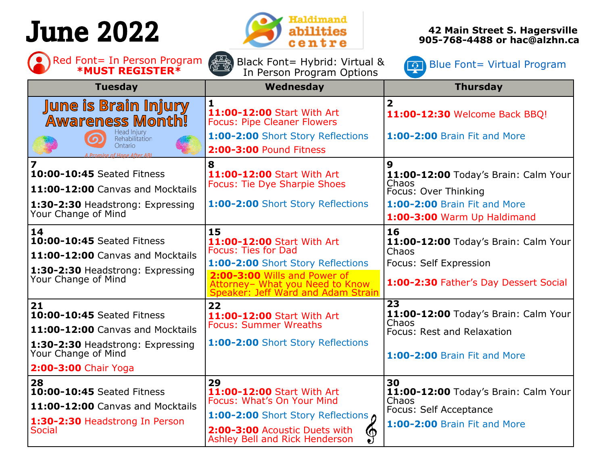# June 2022



Black Font= Hybrid: Virtual &

**42 Main Street S. Hagersville 905-768-4488 or hac@alzhn.ca**

Red Font= In Person Program  $\begin{pmatrix} 0 & 0 \end{pmatrix}$  Red Font= In Person Program **and A**<br>**Example 19 Font Program Program Options EXAMPLE AND REGISTER \*** 

| <b>*MUST REGISTER*</b>                                                                                                                                  | 23<br><u>Litro de </u><br>In Person Program Options                                                                                                                                                          |                                                                                                                                           |  |
|---------------------------------------------------------------------------------------------------------------------------------------------------------|--------------------------------------------------------------------------------------------------------------------------------------------------------------------------------------------------------------|-------------------------------------------------------------------------------------------------------------------------------------------|--|
| <b>Tuesday</b>                                                                                                                                          | Wednesday                                                                                                                                                                                                    | <b>Thursday</b>                                                                                                                           |  |
| <b>June is Brain Injury</b><br><b>Awareness Month!</b><br>Head Injury<br>Rehabilitation<br>$\Omega$<br>Ontario<br>A Promise of Hope After ABI           | 1<br>11:00-12:00 Start With Art<br><b>Focus: Pipe Cleaner Flowers</b><br>1:00-2:00 Short Story Reflections<br>2:00-3:00 Pound Fitness                                                                        | $\overline{\mathbf{2}}$<br>11:00-12:30 Welcome Back BBQ!<br>1:00-2:00 Brain Fit and More                                                  |  |
| $\overline{\mathbf{z}}$<br>10:00-10:45 Seated Fitness<br>11:00-12:00 Canvas and Mocktails<br>1:30-2:30 Headstrong: Expressing<br>Your Change of Mind    | 8<br>11:00-12:00 Start With Art<br><b>Focus: Tie Dye Sharpie Shoes</b><br>1:00-2:00 Short Story Reflections                                                                                                  | 9<br>11:00-12:00 Today's Brain: Calm Your<br>Chaos<br>Focus: Over Thinking<br>1:00-2:00 Brain Fit and More<br>1:00-3:00 Warm Up Haldimand |  |
| 14<br>10:00-10:45 Seated Fitness<br>11:00-12:00 Canvas and Mocktails<br>1:30-2:30 Headstrong: Expressing<br>Your Change of Mind                         | 15<br>11:00-12:00 Start With Art<br><b>Focus: Ties for Dad</b><br>1:00-2:00 Short Story Reflections<br>2:00-3:00 Wills and Power of<br>Attorney- What you Need to Know<br>Speaker: Jeff Ward and Adam Strain | 16<br>11:00-12:00 Today's Brain: Calm Your<br>Chaos<br>Focus: Self Expression<br>1:00-2:30 Father's Day Dessert Social                    |  |
| 21<br>10:00-10:45 Seated Fitness<br>11:00-12:00 Canvas and Mocktails<br>1:30-2:30 Headstrong: Expressing<br>Your Change of Mind<br>2:00-3:00 Chair Yoga | 22<br>11:00-12:00 Start With Art<br><b>Focus: Summer Wreaths</b><br>1:00-2:00 Short Story Reflections                                                                                                        | 23<br>11:00-12:00 Today's Brain: Calm Your<br>Chaos<br>Focus: Rest and Relaxation<br><b>1:00-2:00 Brain Fit and More</b>                  |  |
| 28<br><b>10:00-10:45 Seated Fitness</b><br>11:00-12:00 Canvas and Mocktails<br>1:30-2:30 Headstrong In Person<br><b>Social</b>                          | 29<br>11:00-12:00 Start With Art<br>Focus: What's On Your Mind<br>1:00-2:00 Short Story Reflections of<br>2:00-3:00 Acoustic Duets with<br>@<br>Ashley Bell and Rick Henderson<br>$\bullet$                  | 30<br>11:00-12:00 Today's Brain: Calm Your<br>Chaos<br>Focus: Self Acceptance<br>1:00-2:00 Brain Fit and More                             |  |